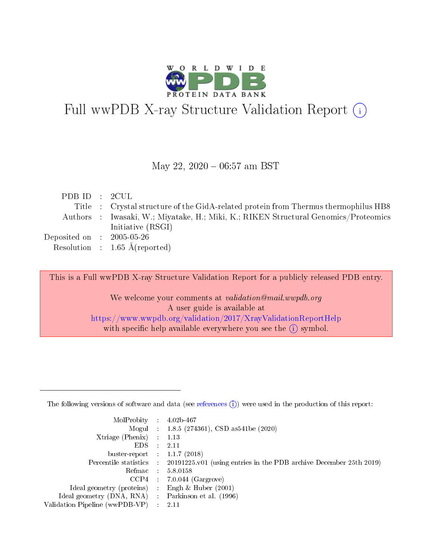

# Full wwPDB X-ray Structure Validation Report (i)

#### May 22,  $2020 - 06:57$  am BST

| PDB ID : 2CUL                                             |                                                                                     |
|-----------------------------------------------------------|-------------------------------------------------------------------------------------|
|                                                           | Title : Crystal structure of the GidA-related protein from Thermus thermophilus HB8 |
|                                                           | Authors : Iwasaki, W.; Miyatake, H.; Miki, K.; RIKEN Structural Genomics/Proteomics |
|                                                           | Initiative (RSGI)                                                                   |
| $\rm Deposited\; on \;\; : \;\; 2005\text{-}05\text{-}26$ |                                                                                     |
|                                                           | Resolution : $1.65 \text{ Å}$ (reported)                                            |

This is a Full wwPDB X-ray Structure Validation Report for a publicly released PDB entry.

We welcome your comments at validation@mail.wwpdb.org A user guide is available at <https://www.wwpdb.org/validation/2017/XrayValidationReportHelp> with specific help available everywhere you see the  $(i)$  symbol.

The following versions of software and data (see [references](https://www.wwpdb.org/validation/2017/XrayValidationReportHelp#references)  $(1)$ ) were used in the production of this report:

| MolProbity                     | $\mathcal{L}_{\rm{max}}$ | $4.02b - 467$                                                                |
|--------------------------------|--------------------------|------------------------------------------------------------------------------|
|                                |                          | Mogul : $1.8.5$ (274361), CSD as 541be (2020)                                |
| $X$ triage (Phenix) :          |                          | 1.13                                                                         |
| EDS.                           |                          | 2.11                                                                         |
| buster-report : $1.1.7$ (2018) |                          |                                                                              |
| Percentile statistics :        |                          | $20191225 \text{ v}01$ (using entries in the PDB archive December 25th 2019) |
| Refmac                         |                          | 5.8.0158                                                                     |
| $CCP4$ :                       |                          | $7.0.044$ (Gargrove)                                                         |
| Ideal geometry (proteins) :    |                          | Engh $\&$ Huber (2001)                                                       |
| Ideal geometry (DNA, RNA) :    |                          | Parkinson et al. (1996)                                                      |
| Validation Pipeline (wwPDB-VP) | $\mathcal{L}$            | -2.11                                                                        |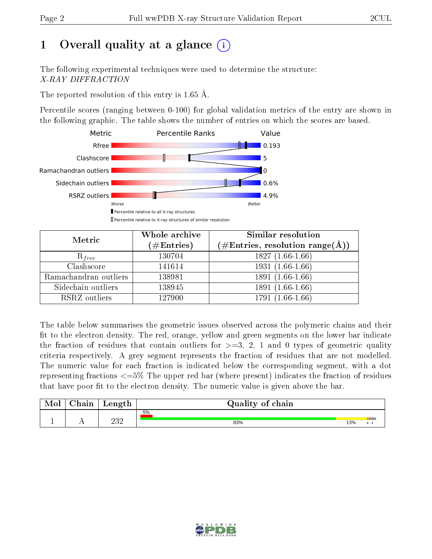# 1 [O](https://www.wwpdb.org/validation/2017/XrayValidationReportHelp#overall_quality)verall quality at a glance  $(i)$

The following experimental techniques were used to determine the structure: X-RAY DIFFRACTION

The reported resolution of this entry is 1.65 Å.

Percentile scores (ranging between 0-100) for global validation metrics of the entry are shown in the following graphic. The table shows the number of entries on which the scores are based.



| Metric                | Whole archive<br>$(\#\text{Entries})$ | <b>Similar resolution</b><br>$(\#\text{Entries},\,\text{resolution}\,\,\text{range}(\textup{\AA}))$ |
|-----------------------|---------------------------------------|-----------------------------------------------------------------------------------------------------|
| $R_{free}$            | 130704                                | $1827(1.66-1.66)$                                                                                   |
| Clashscore            | 141614                                | $1931(1.66-1.66)$                                                                                   |
| Ramachandran outliers | 138981                                | $1891(1.66-1.66)$                                                                                   |
| Sidechain outliers    | 138945                                | 1891 (1.66-1.66)                                                                                    |
| RSRZ outliers         | 127900                                | $1791(1.66-1.66)$                                                                                   |

The table below summarises the geometric issues observed across the polymeric chains and their fit to the electron density. The red, orange, yellow and green segments on the lower bar indicate the fraction of residues that contain outliers for  $>=3, 2, 1$  and 0 types of geometric quality criteria respectively. A grey segment represents the fraction of residues that are not modelled. The numeric value for each fraction is indicated below the corresponding segment, with a dot representing fractions  $\epsilon=5\%$  The upper red bar (where present) indicates the fraction of residues that have poor fit to the electron density. The numeric value is given above the bar.

| Mol | $\sim$ 1<br>hain | Length      | Quality of chain |     |     |
|-----|------------------|-------------|------------------|-----|-----|
|     |                  |             | 5%               |     |     |
| л.  | . .              | ດາ ດ<br>∠∪∠ | 83%              | 13% | . . |

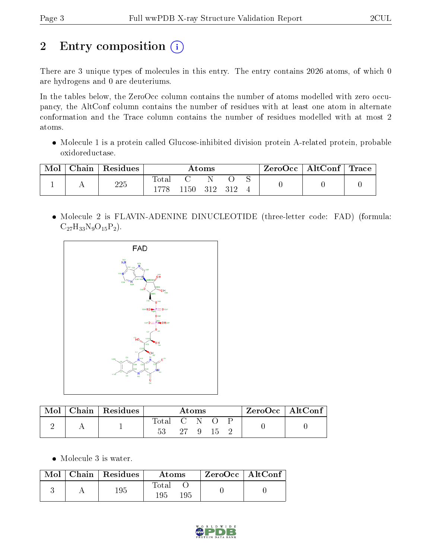# 2 Entry composition (i)

There are 3 unique types of molecules in this entry. The entry contains 2026 atoms, of which 0 are hydrogens and 0 are deuteriums.

In the tables below, the ZeroOcc column contains the number of atoms modelled with zero occupancy, the AltConf column contains the number of residues with at least one atom in alternate conformation and the Trace column contains the number of residues modelled with at most 2 atoms.

 Molecule 1 is a protein called Glucose-inhibited division protein A-related protein, probable oxidoreductase.

|  | Chain   $Residues$ |               |      | Atoms     |  | $\text{ZeroOcc}$   AltConf   Trace |  |
|--|--------------------|---------------|------|-----------|--|------------------------------------|--|
|  | 225                | Total<br>1778 | 1150 | - 312 312 |  |                                    |  |

 Molecule 2 is FLAVIN-ADENINE DINUCLEOTIDE (three-letter code: FAD) (formula:  $C_{27}H_{33}N_9O_{15}P_2$ .



| Mol | Chain   Residues | Atoms       |          |  |      | $\rm ZeroOcc \mid AltConf$ |  |  |
|-----|------------------|-------------|----------|--|------|----------------------------|--|--|
|     |                  | Total C N O |          |  |      |                            |  |  |
|     |                  |             | $27 - 9$ |  | - 15 |                            |  |  |

• Molecule 3 is water.

|  | $Mol$   Chain   Residues | Atoms               | ZeroOcc   AltConf |  |
|--|--------------------------|---------------------|-------------------|--|
|  | 195                      | Total<br>195<br>195 |                   |  |

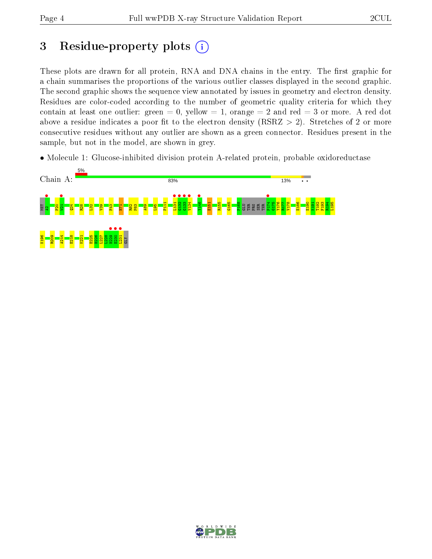## 3 Residue-property plots  $(i)$

These plots are drawn for all protein, RNA and DNA chains in the entry. The first graphic for a chain summarises the proportions of the various outlier classes displayed in the second graphic. The second graphic shows the sequence view annotated by issues in geometry and electron density. Residues are color-coded according to the number of geometric quality criteria for which they contain at least one outlier: green  $= 0$ , yellow  $= 1$ , orange  $= 2$  and red  $= 3$  or more. A red dot above a residue indicates a poor fit to the electron density (RSRZ  $> 2$ ). Stretches of 2 or more consecutive residues without any outlier are shown as a green connector. Residues present in the sample, but not in the model, are shown in grey.

• Molecule 1: Glucose-inhibited division protein A-related protein, probable oxidoreductase



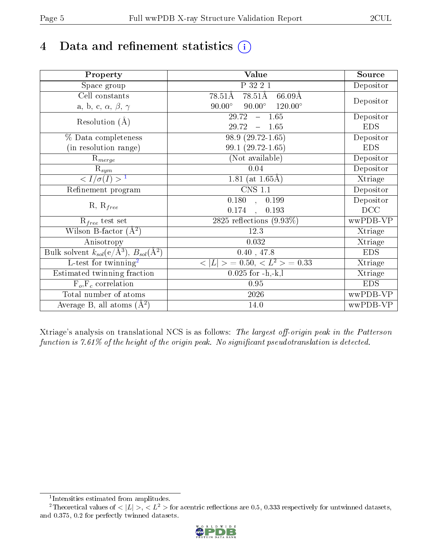# 4 Data and refinement statistics  $(i)$

| Property                                                             | <b>Value</b>                                       | Source     |
|----------------------------------------------------------------------|----------------------------------------------------|------------|
| Space group                                                          | P 32 2 1                                           | Depositor  |
| Cell constants                                                       | 78.51Å<br>$78.51\text{\AA}$<br>$66.09\AA$          |            |
| a, b, c, $\alpha$ , $\beta$ , $\gamma$                               | $120.00^{\circ}$<br>$90.00^\circ$<br>$90.00^\circ$ | Depositor  |
| Resolution $(A)$                                                     | 1.65<br>29.72<br>$\equiv$                          | Depositor  |
|                                                                      | 29.72<br>1.65                                      | <b>EDS</b> |
| % Data completeness                                                  | 98.9 (29.72-1.65)                                  | Depositor  |
| (in resolution range)                                                | 99.1 (29.72-1.65)                                  | <b>EDS</b> |
| $R_{merge}$                                                          | (Not available)                                    | Depositor  |
| $\mathrm{R}_{sym}$                                                   | 0.04                                               | Depositor  |
| $\langle I/\sigma(I) \rangle^{-1}$                                   | 1.81 (at $1.65\text{\AA}$ )                        | Xtriage    |
| Refinement program                                                   | $\overline{\text{CNS} 1.1}$                        | Depositor  |
| $R, R_{free}$                                                        | 0.180<br>0.199<br>$\rightarrow$                    | Depositor  |
|                                                                      | 0.174<br>0.193<br>$\mathbf{A}$                     | DCC        |
| $R_{free}$ test set                                                  | 2825 reflections $(9.93\%)$                        | wwPDB-VP   |
| Wilson B-factor $(A^2)$                                              | 12.3                                               | Xtriage    |
| Anisotropy                                                           | 0.032                                              | Xtriage    |
| Bulk solvent $k_{sol}(e/\mathring{A}^3)$ , $B_{sol}(\mathring{A}^2)$ | 0.40, 47.8                                         | <b>EDS</b> |
| L-test for twinning <sup>2</sup>                                     | $>$ = 0.50, < $L^2$ > = 0.33<br>< L                | Xtriage    |
| Estimated twinning fraction                                          | $0.025$ for $-h,-k,l$                              | Xtriage    |
| $F_o, F_c$ correlation                                               | 0.95                                               | <b>EDS</b> |
| Total number of atoms                                                | 2026                                               | wwPDB-VP   |
| Average B, all atoms $(A^2)$                                         | 14.0                                               | wwPDB-VP   |

Xtriage's analysis on translational NCS is as follows: The largest off-origin peak in the Patterson function is  $7.61\%$  of the height of the origin peak. No significant pseudotranslation is detected.

<sup>&</sup>lt;sup>2</sup>Theoretical values of  $\langle |L| \rangle$ ,  $\langle L^2 \rangle$  for acentric reflections are 0.5, 0.333 respectively for untwinned datasets, and 0.375, 0.2 for perfectly twinned datasets.



<span id="page-4-1"></span><span id="page-4-0"></span><sup>1</sup> Intensities estimated from amplitudes.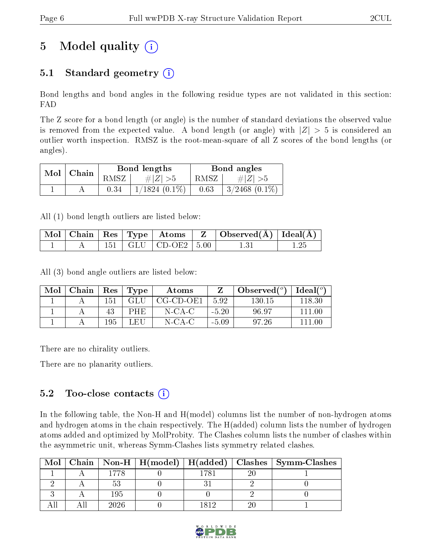# 5 Model quality  $(i)$

## 5.1 Standard geometry  $(i)$

Bond lengths and bond angles in the following residue types are not validated in this section: FAD

The Z score for a bond length (or angle) is the number of standard deviations the observed value is removed from the expected value. A bond length (or angle) with  $|Z| > 5$  is considered an outlier worth inspection. RMSZ is the root-mean-square of all Z scores of the bond lengths (or angles).

| Mol | Chain |      | Bond lengths    | Bond angles |                    |  |
|-----|-------|------|-----------------|-------------|--------------------|--|
|     |       | RMSZ | $\# Z  > 5$     | RMSZ        | # $ Z  > 5$        |  |
|     |       | 0.34 | $1/1824(0.1\%)$ | 0.63        | $3/2468$ $(0.1\%)$ |  |

All (1) bond length outliers are listed below:

|  |  |                             | $\mid$ Mol $\mid$ Chain $\mid$ Res $\mid$ Type $\mid$ Atoms $\mid$ Z $\mid$ Observed(A) $\mid$ Ideal(A) $\mid$ |  |
|--|--|-----------------------------|----------------------------------------------------------------------------------------------------------------|--|
|  |  | $151$   GLU   CD-OE2   5.00 |                                                                                                                |  |

All (3) bond angle outliers are listed below:

| Mol | Chain | $\operatorname{Res}$ | Type | Atoms     |         | Observed $(°)$ | Ideal(°) |
|-----|-------|----------------------|------|-----------|---------|----------------|----------|
|     |       | 151                  |      | CG-CD-OE1 | 5.92    | 130.15         | 118.30   |
|     |       | 43                   | PHE  | N-CA-C    | $-5.20$ | 96.97          | 111 00   |
|     |       | 195                  | LEH  | N-CA-C    | $-5.09$ | 97.26          | 111 NA   |

There are no chirality outliers.

There are no planarity outliers.

### $5.2$  Too-close contacts  $\binom{1}{1}$

In the following table, the Non-H and H(model) columns list the number of non-hydrogen atoms and hydrogen atoms in the chain respectively. The H(added) column lists the number of hydrogen atoms added and optimized by MolProbity. The Clashes column lists the number of clashes within the asymmetric unit, whereas Symm-Clashes lists symmetry related clashes.

| Mol |      |  | Chain   Non-H   H(model)   H(added)   Clashes   Symm-Clashes |
|-----|------|--|--------------------------------------------------------------|
|     | 1778 |  |                                                              |
|     |      |  |                                                              |
|     | 195  |  |                                                              |
|     | 2026 |  |                                                              |

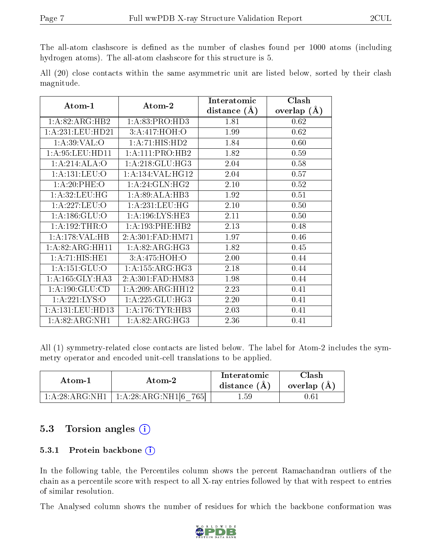The all-atom clashscore is defined as the number of clashes found per 1000 atoms (including hydrogen atoms). The all-atom clashscore for this structure is 5.

|            |  |  | All (20) close contacts within the same asymmetric unit are listed below, sorted by their clash |  |  |  |  |
|------------|--|--|-------------------------------------------------------------------------------------------------|--|--|--|--|
| magnitude. |  |  |                                                                                                 |  |  |  |  |

| Atom-1                      | Atom-2              | Interatomic    | Clash         |  |
|-----------------------------|---------------------|----------------|---------------|--|
|                             |                     | distance $(A)$ | overlap $(A)$ |  |
| 1: A:82: ARG:HB2            | 1:A:83:PRO:HD3      | 1.81           | 0.62          |  |
| 1:A:231:LEU:HD21            | 3:A:417:HOH:O       | 1.99           | 0.62          |  |
| 1: A:39: VAL:O              | 1:A:71:HIS:HD2      | 1.84           | 0.60          |  |
| 1: A:95:LEU:HD11            | 1: A: 111: PRO: HB2 | 1.82           | 0.59          |  |
| 1:A:214:ALA:O               | 1: A:218: GLU:HG3   | 2.04           | 0.58          |  |
| 1:A:131:LEU:O               | 1:A:134:VAL:HG12    | 2.04           | 0.57          |  |
| 1:A:20:PHE:O                | 1: A:24: GLN:HG2    | 2.10           | 0.52          |  |
| 1: A:32: LEU:HG             | 1:A:89:ALA:HB3      | 1.92           | 0.51          |  |
| 1:A:227:LEU:O               | 1:A:231:LEU:HG      | 2.10           | 0.50          |  |
| 1: A: 186: GLU:O            | 1: A:196: LYS: HE3  | 2.11           | 0.50          |  |
| 1: A:192:THR:O              | 1: A: 193:PHE: HB2  | 2.13           | 0.48          |  |
| 1:A:178:VAL:HB              | 2:A:301:FAD:HM71    | 1.97           | 0.46          |  |
| 1: A:82: ARG:HH11           | 1: A:82: ARG: HG3   | 1.82           | 0.45          |  |
| 1:A:71:HIS:HE1              | 3:A:475:HOH:O       | 2.00           | 0.44          |  |
| 1: A: 151: GLU:O            | 1: A: 155: ARG: HG3 | 2.18           | 0.44          |  |
| 1: A: 165: GLY: HA3         | 2:A:301:FAD:HM83    | 1.98           | 0.44          |  |
| 1: A: 190: GLU: CD          | 1:A:209:ARG:HH12    | 2.23           | 0.41          |  |
| 1: A: 221: LYS: O           | $1:$ A:225:GLU:HG3  | 2.20           | 0.41          |  |
| 1:A:131:LEU:HD13            | 1: A:176:TYR:HB3    | 2.03           | 0.41          |  |
| $1:A:82:ARG:N\overline{H1}$ | 1: A:82: ARG: HG3   | 2.36           | 0.41          |  |

All (1) symmetry-related close contacts are listed below. The label for Atom-2 includes the symmetry operator and encoded unit-cell translations to be applied.

| Atom-1             | Atom-2                                   | Interatomic<br>distance $(A)$ | Clash<br>overlap $(A)$ |
|--------------------|------------------------------------------|-------------------------------|------------------------|
| $1:A:28:ARG:NH1$ + | $\mid 1:\!A:\!28:\!ARG:\!NH1 6$<br>-765L | . .59                         | $0.61\,$               |

### 5.3 Torsion angles  $(i)$

#### 5.3.1 Protein backbone (i)

In the following table, the Percentiles column shows the percent Ramachandran outliers of the chain as a percentile score with respect to all X-ray entries followed by that with respect to entries of similar resolution.

The Analysed column shows the number of residues for which the backbone conformation was

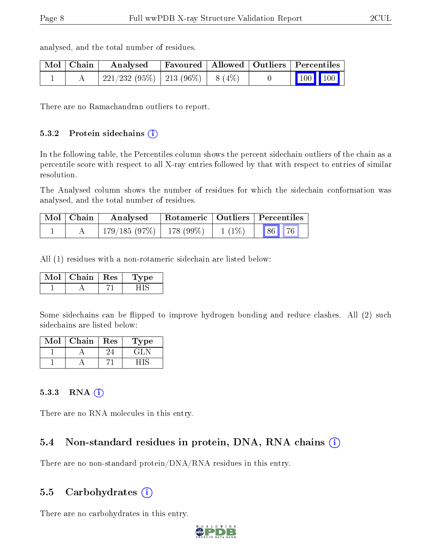| Mol   Chain | Analysed                           |  | Favoured   Allowed   Outliers   Percentiles |  |
|-------------|------------------------------------|--|---------------------------------------------|--|
|             | 221/232 (95%)   213 (96%)   8 (4%) |  | 100 100                                     |  |

analysed, and the total number of residues.

There are no Ramachandran outliers to report.

#### 5.3.2 Protein sidechains (i)

In the following table, the Percentiles column shows the percent sidechain outliers of the chain as a percentile score with respect to all X-ray entries followed by that with respect to entries of similar resolution.

The Analysed column shows the number of residues for which the sidechain conformation was analysed, and the total number of residues.

| Mol   Chain | Analysed Rotameric   Outliers   Percentiles |  |  |  |  |
|-------------|---------------------------------------------|--|--|--|--|
|             | $179/185(97\%)$ 178 (99\%) 1 (1\%) 86 76    |  |  |  |  |

All (1) residues with a non-rotameric sidechain are listed below:

| MoL | Chain. | $\parallel$ Res | ype |
|-----|--------|-----------------|-----|
|     |        |                 |     |

Some sidechains can be flipped to improve hydrogen bonding and reduce clashes. All (2) such sidechains are listed below:

| Mol | Chain | <b>Res</b> | Type |
|-----|-------|------------|------|
|     |       |            |      |
|     |       |            |      |

#### $5.3.3$  RNA  $(i)$

There are no RNA molecules in this entry.

### 5.4 Non-standard residues in protein, DNA, RNA chains  $(i)$

There are no non-standard protein/DNA/RNA residues in this entry.

#### 5.5 Carbohydrates  $(i)$

There are no carbohydrates in this entry.

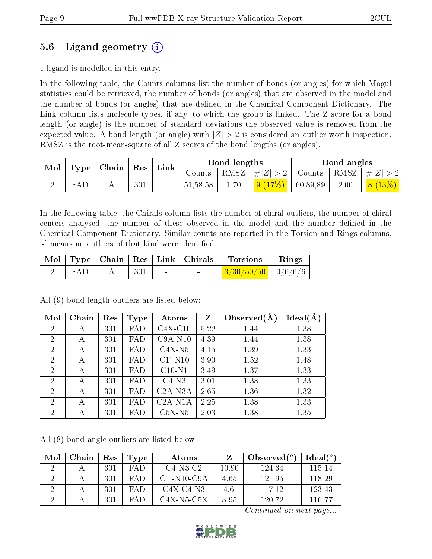### 5.6 Ligand geometry (i)

1 ligand is modelled in this entry.

In the following table, the Counts columns list the number of bonds (or angles) for which Mogul statistics could be retrieved, the number of bonds (or angles) that are observed in the model and the number of bonds (or angles) that are dened in the Chemical Component Dictionary. The Link column lists molecule types, if any, to which the group is linked. The Z score for a bond length (or angle) is the number of standard deviations the observed value is removed from the expected value. A bond length (or angle) with  $|Z| > 2$  is considered an outlier worth inspection. RMSZ is the root-mean-square of all Z scores of the bond lengths (or angles).

| Mol |     | $\parallel$ Type $\parallel$ Chain $\parallel$ Res $\parallel$ Link $\parallel$ |     |          | Bond lengths |                     | Bond angles   |      |         |
|-----|-----|---------------------------------------------------------------------------------|-----|----------|--------------|---------------------|---------------|------|---------|
|     |     |                                                                                 |     | Counts   |              | $ RMSZ  \#  Z  > 2$ | Counts   RMSZ |      | $\# Z $ |
|     | FAL |                                                                                 | 301 | 51,58,58 | 1.70         | 9(17%)              | 60,89,89      | 2.00 | 8(13%)  |

In the following table, the Chirals column lists the number of chiral outliers, the number of chiral centers analysed, the number of these observed in the model and the number defined in the Chemical Component Dictionary. Similar counts are reported in the Torsion and Rings columns. '-' means no outliers of that kind were identified.

|     |     |        | $\mid$ Mol $\mid$ Type $\mid$ Chain $\mid$ Res $\mid$ Link $\mid$ Chirals $\mid$ | ' Torsions                                                  | Rings |
|-----|-----|--------|----------------------------------------------------------------------------------|-------------------------------------------------------------|-------|
| FAD | 301 | $\sim$ |                                                                                  | $\frac{3}{30}$ $\frac{50}{50}$ $\frac{10}{6}$ $\frac{6}{6}$ |       |

All (9) bond length outliers are listed below:

| Mol            | Chain | Res | <b>Type</b> | Atoms      | $\mathbf{Z}$ | Observed $(A$ | $Ideal(\AA)$ |
|----------------|-------|-----|-------------|------------|--------------|---------------|--------------|
| $\overline{2}$ | А     | 301 | FAD         | $C4X-C10$  | 5.22         | 1.44          | 1.38         |
| $\overline{2}$ | А     | 301 | FAD         | $C9A-N10$  | 4.39         | 1.44          | 1.38         |
| $\overline{2}$ | А     | 301 | FAD         | $C4X-N5$   | 4.15         | 1.39          | 1.33         |
| $\overline{2}$ | А     | 301 | FAD         | $C1'$ -N10 | 3.90         | 1.52          | 1.48         |
| $\overline{2}$ | А     | 301 | FAD         | $C10-N1$   | 3.49         | 1.37          | 1.33         |
| $\overline{2}$ | А     | 301 | FAD         | $C4-N3$    | 3.01         | 1.38          | 1.33         |
| $\overline{2}$ | А     | 301 | FAD         | $C2A-N3A$  | 2.65         | 1.36          | 1.32         |
| $\overline{2}$ | А     | 301 | FAD         | $C2A-N1A$  | 2.25         | 1.38          | 1.33         |
| $\overline{2}$ | А     | 301 | FAD         | $C5X-N5$   | 2.03         | 1.38          | 1.35         |

All (8) bond angle outliers are listed below:

| Mol | Chain | Res | Type   | Atoms                                    |       | Observed $(°)$ | $Ideal(^o)$ |
|-----|-------|-----|--------|------------------------------------------|-------|----------------|-------------|
|     |       | 301 | FA D   | $C4-N3-C2$                               | 10.90 | 124.34         | 115 14      |
|     |       | 301 | $FA$ D | $C1'$ -N <sub>10</sub> -C <sub>9</sub> A | 4.65  | 12195          | 118.29      |
|     |       | 301 | FA D   | C4X-C4-N3                                | -4.61 | 117 12         | 123.43      |
|     |       | 301 |        | C4X-N5-C5X                               | 3.95  | 120.72         | 116.77      |

Continued on next page...

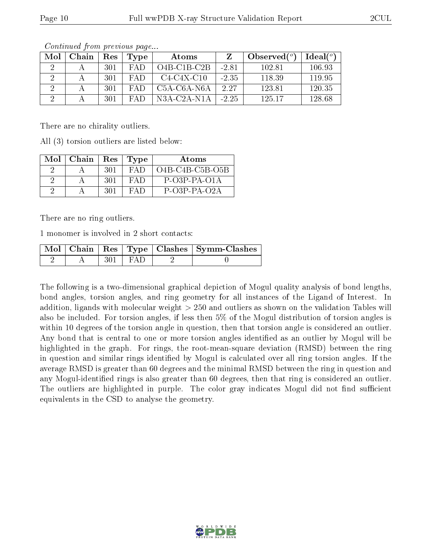| Mol | Chain | Res  | Type | Atoms         |         | Observed $(°)$ | $Ideal(^o)$ |
|-----|-------|------|------|---------------|---------|----------------|-------------|
|     |       | 301  | FAD  | $O4B-C1B-C2B$ | $-2.81$ | 102.81         | 106.93      |
|     |       | 301  | FAD  | $C4-C4X-C10$  | $-2.35$ | 118.39         | 119.95      |
|     |       | -301 | FAP  | $C5A-C6A-NGA$ | 2.27    | 123.81         | 120.35      |
|     |       | 301  | FAD  | $N3A-C2A-N1A$ | $-2.25$ | 125 17         | 128.68      |

Continued from previous page...

There are no chirality outliers.

All (3) torsion outliers are listed below:

| $Mol$   Chain |      | Res   Type | Atoms             |
|---------------|------|------------|-------------------|
|               | 301  | FAD.       | $O4B-C4B-C5B-O5B$ |
|               | -301 | FA D       | $P-O3P-PA-O1A$    |
|               | 301  | FAD        | $P$ -O3P-PA-O2A   |

There are no ring outliers.

1 monomer is involved in 2 short contacts:

|  |             | Mol   Chain   Res   Type   Clashes   Symm-Clashes |
|--|-------------|---------------------------------------------------|
|  | $301 + FAD$ |                                                   |

The following is a two-dimensional graphical depiction of Mogul quality analysis of bond lengths, bond angles, torsion angles, and ring geometry for all instances of the Ligand of Interest. In addition, ligands with molecular weight > 250 and outliers as shown on the validation Tables will also be included. For torsion angles, if less then 5% of the Mogul distribution of torsion angles is within 10 degrees of the torsion angle in question, then that torsion angle is considered an outlier. Any bond that is central to one or more torsion angles identified as an outlier by Mogul will be highlighted in the graph. For rings, the root-mean-square deviation (RMSD) between the ring in question and similar rings identified by Mogul is calculated over all ring torsion angles. If the average RMSD is greater than 60 degrees and the minimal RMSD between the ring in question and any Mogul-identied rings is also greater than 60 degrees, then that ring is considered an outlier. The outliers are highlighted in purple. The color gray indicates Mogul did not find sufficient equivalents in the CSD to analyse the geometry.

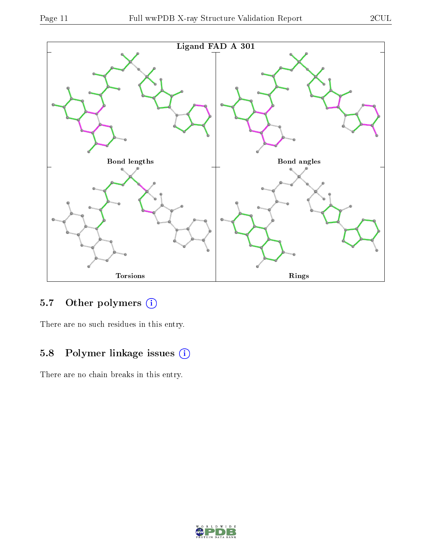

### 5.7 [O](https://www.wwpdb.org/validation/2017/XrayValidationReportHelp#nonstandard_residues_and_ligands)ther polymers (i)

There are no such residues in this entry.

## 5.8 Polymer linkage issues (i)

There are no chain breaks in this entry.

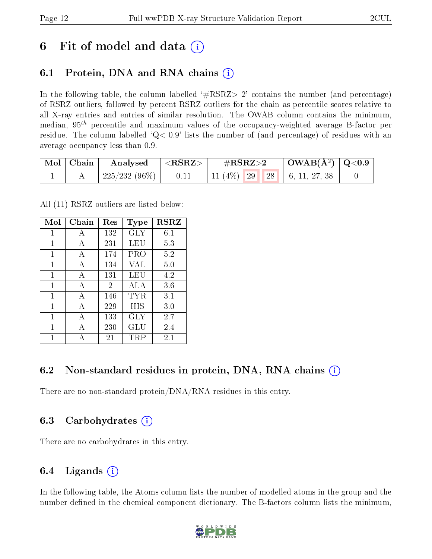## 6 Fit of model and data  $\left( \cdot \right)$

### 6.1 Protein, DNA and RNA chains (i)

In the following table, the column labelled  $#RSRZ>2'$  contains the number (and percentage) of RSRZ outliers, followed by percent RSRZ outliers for the chain as percentile scores relative to all X-ray entries and entries of similar resolution. The OWAB column contains the minimum, median,  $95<sup>th</sup>$  percentile and maximum values of the occupancy-weighted average B-factor per residue. The column labelled  $Q< 0.9$  lists the number of (and percentage) of residues with an average occupancy less than 0.9.

| $\mid$ Mol $\mid$ Chain | Analysed $ \langle \text{RSRZ} \rangle $ |      | $\#\text{RSRZ}\text{>2}$           | $\mid$ OWAB(Å <sup>2</sup> ) $\mid$ Q<0.9 $\mid$ |  |
|-------------------------|------------------------------------------|------|------------------------------------|--------------------------------------------------|--|
|                         | $+225/232(96\%)$                         | 0.11 | 11 (4\%)   29   28   6, 11, 27, 38 |                                                  |  |

All (11) RSRZ outliers are listed below:

| Mol | Chain        | Res | <b>Type</b>          | <b>RSRZ</b> |
|-----|--------------|-----|----------------------|-------------|
| 1   | A            | 132 | GLY                  | 6.1         |
| 1   | A            | 231 | LEU                  | 5.3         |
| 1   | A            | 174 | PRO                  | 5.2         |
| 1   | A            | 134 | VAL                  | 5.0         |
| 1   | A            | 131 | LEU                  | 4.2         |
| 1   | A            | 2   | <b>ALA</b>           | 3.6         |
| 1   | $\mathbf{A}$ | 146 | TYR.                 | $3.1\,$     |
| 1   | $\mathbf{A}$ | 229 | HIS                  | 3.0         |
| 1   | A            | 133 | GLY                  | 2.7         |
| 1   | A            | 230 | GLU                  | 2.4         |
|     |              | 21  | $\operatorname{TRP}$ | 2.1         |

### 6.2 Non-standard residues in protein, DNA, RNA chains (i)

There are no non-standard protein/DNA/RNA residues in this entry.

#### 6.3 Carbohydrates (i)

There are no carbohydrates in this entry.

### 6.4 Ligands  $(i)$

In the following table, the Atoms column lists the number of modelled atoms in the group and the number defined in the chemical component dictionary. The B-factors column lists the minimum,